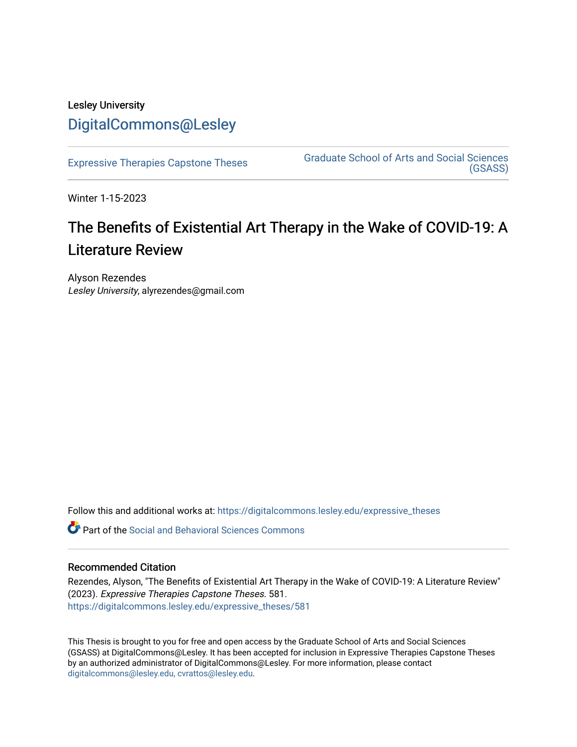## Lesley University [DigitalCommons@Lesley](https://digitalcommons.lesley.edu/)

[Expressive Therapies Capstone Theses](https://digitalcommons.lesley.edu/expressive_theses) Graduate School of Arts and Social Sciences [\(GSASS\)](https://digitalcommons.lesley.edu/gsass) 

Winter 1-15-2023

# The Benefits of Existential Art Therapy in the Wake of COVID-19: A Literature Review

Alyson Rezendes Lesley University, alyrezendes@gmail.com

Follow this and additional works at: [https://digitalcommons.lesley.edu/expressive\\_theses](https://digitalcommons.lesley.edu/expressive_theses?utm_source=digitalcommons.lesley.edu%2Fexpressive_theses%2F581&utm_medium=PDF&utm_campaign=PDFCoverPages)

Part of the [Social and Behavioral Sciences Commons](http://network.bepress.com/hgg/discipline/316?utm_source=digitalcommons.lesley.edu%2Fexpressive_theses%2F581&utm_medium=PDF&utm_campaign=PDFCoverPages) 

## Recommended Citation

Rezendes, Alyson, "The Benefits of Existential Art Therapy in the Wake of COVID-19: A Literature Review" (2023). Expressive Therapies Capstone Theses. 581. [https://digitalcommons.lesley.edu/expressive\\_theses/581](https://digitalcommons.lesley.edu/expressive_theses/581?utm_source=digitalcommons.lesley.edu%2Fexpressive_theses%2F581&utm_medium=PDF&utm_campaign=PDFCoverPages)

This Thesis is brought to you for free and open access by the Graduate School of Arts and Social Sciences (GSASS) at DigitalCommons@Lesley. It has been accepted for inclusion in Expressive Therapies Capstone Theses by an authorized administrator of DigitalCommons@Lesley. For more information, please contact [digitalcommons@lesley.edu, cvrattos@lesley.edu](mailto:digitalcommons@lesley.edu,%20cvrattos@lesley.edu).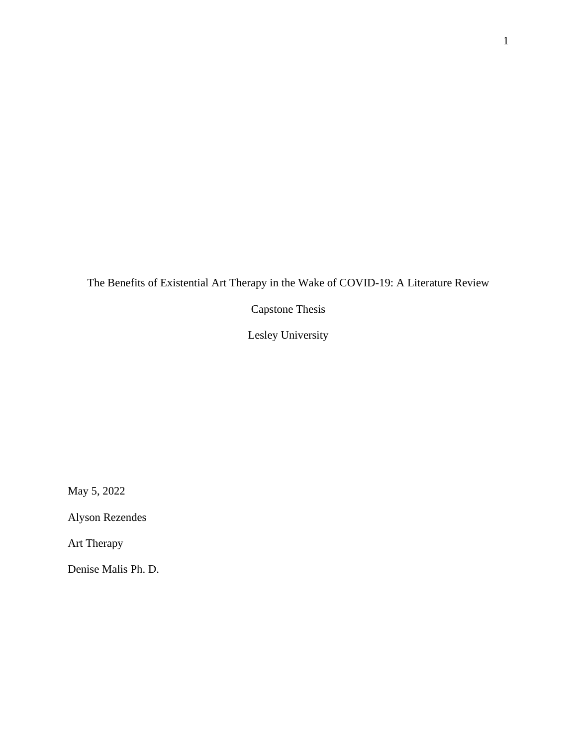The Benefits of Existential Art Therapy in the Wake of COVID-19: A Literature Review

Capstone Thesis

Lesley University

May 5, 2022

Alyson Rezendes

Art Therapy

Denise Malis Ph. D.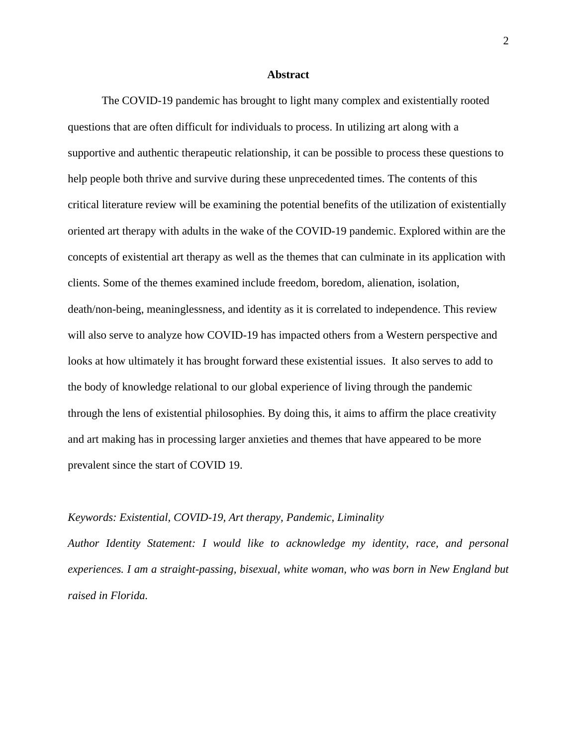## **Abstract**

The COVID-19 pandemic has brought to light many complex and existentially rooted questions that are often difficult for individuals to process. In utilizing art along with a supportive and authentic therapeutic relationship, it can be possible to process these questions to help people both thrive and survive during these unprecedented times. The contents of this critical literature review will be examining the potential benefits of the utilization of existentially oriented art therapy with adults in the wake of the COVID-19 pandemic. Explored within are the concepts of existential art therapy as well as the themes that can culminate in its application with clients. Some of the themes examined include freedom, boredom, alienation, isolation, death/non-being, meaninglessness, and identity as it is correlated to independence. This review will also serve to analyze how COVID-19 has impacted others from a Western perspective and looks at how ultimately it has brought forward these existential issues. It also serves to add to the body of knowledge relational to our global experience of living through the pandemic through the lens of existential philosophies. By doing this, it aims to affirm the place creativity and art making has in processing larger anxieties and themes that have appeared to be more prevalent since the start of COVID 19.

## *Keywords: Existential, COVID-19, Art therapy, Pandemic, Liminality*

*Author Identity Statement: I would like to acknowledge my identity, race, and personal experiences. I am a straight-passing, bisexual, white woman, who was born in New England but raised in Florida.*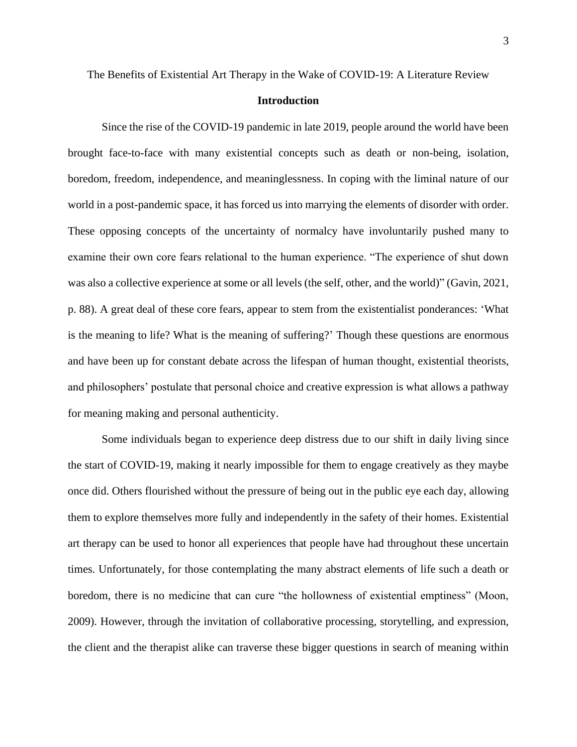## **Introduction**

Since the rise of the COVID-19 pandemic in late 2019, people around the world have been brought face-to-face with many existential concepts such as death or non-being, isolation, boredom, freedom, independence, and meaninglessness. In coping with the liminal nature of our world in a post-pandemic space, it has forced us into marrying the elements of disorder with order. These opposing concepts of the uncertainty of normalcy have involuntarily pushed many to examine their own core fears relational to the human experience. "The experience of shut down was also a collective experience at some or all levels (the self, other, and the world)" (Gavin, 2021, p. 88). A great deal of these core fears, appear to stem from the existentialist ponderances: 'What is the meaning to life? What is the meaning of suffering?' Though these questions are enormous and have been up for constant debate across the lifespan of human thought, existential theorists, and philosophers' postulate that personal choice and creative expression is what allows a pathway for meaning making and personal authenticity.

Some individuals began to experience deep distress due to our shift in daily living since the start of COVID-19, making it nearly impossible for them to engage creatively as they maybe once did. Others flourished without the pressure of being out in the public eye each day, allowing them to explore themselves more fully and independently in the safety of their homes. Existential art therapy can be used to honor all experiences that people have had throughout these uncertain times. Unfortunately, for those contemplating the many abstract elements of life such a death or boredom, there is no medicine that can cure "the hollowness of existential emptiness" (Moon, 2009). However, through the invitation of collaborative processing, storytelling, and expression, the client and the therapist alike can traverse these bigger questions in search of meaning within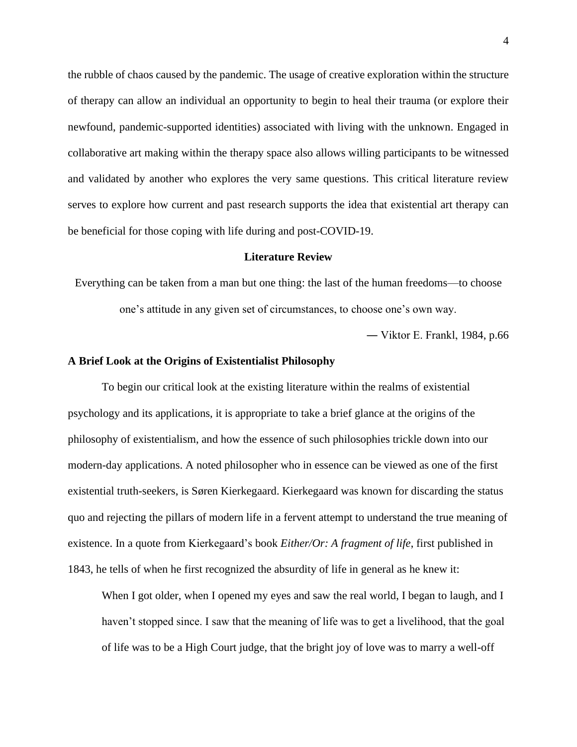the rubble of chaos caused by the pandemic. The usage of creative exploration within the structure of therapy can allow an individual an opportunity to begin to heal their trauma (or explore their newfound, pandemic-supported identities) associated with living with the unknown. Engaged in collaborative art making within the therapy space also allows willing participants to be witnessed and validated by another who explores the very same questions. This critical literature review serves to explore how current and past research supports the idea that existential art therapy can be beneficial for those coping with life during and post-COVID-19.

#### **Literature Review**

Everything can be taken from a man but one thing: the last of the human freedoms—to choose one's attitude in any given set of circumstances, to choose one's own way.

― Viktor E. Frankl, 1984, p.66

## **A Brief Look at the Origins of Existentialist Philosophy**

To begin our critical look at the existing literature within the realms of existential psychology and its applications, it is appropriate to take a brief glance at the origins of the philosophy of existentialism, and how the essence of such philosophies trickle down into our modern-day applications. A noted philosopher who in essence can be viewed as one of the first existential truth-seekers, is Søren Kierkegaard. Kierkegaard was known for discarding the status quo and rejecting the pillars of modern life in a fervent attempt to understand the true meaning of existence. In a quote from Kierkegaard's book *Either/Or: A fragment of life*, first published in 1843, he tells of when he first recognized the absurdity of life in general as he knew it:

When I got older, when I opened my eyes and saw the real world, I began to laugh, and I haven't stopped since. I saw that the meaning of life was to get a livelihood, that the goal of life was to be a High Court judge, that the bright joy of love was to marry a well-off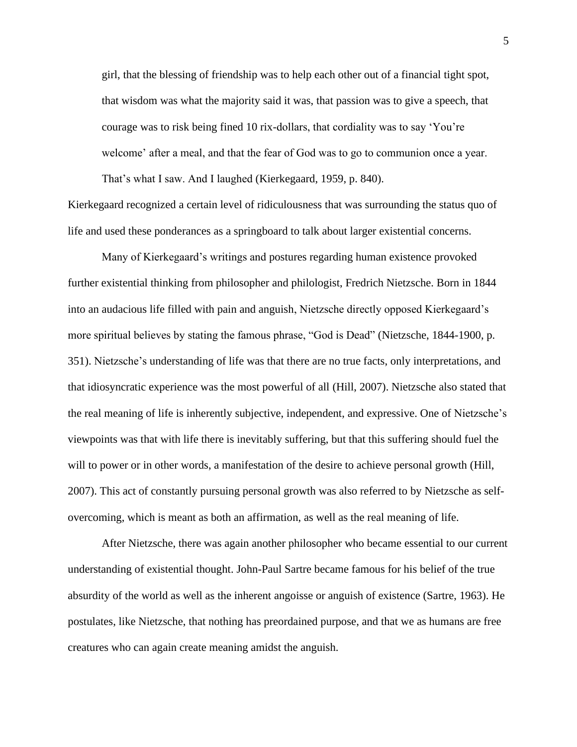girl, that the blessing of friendship was to help each other out of a financial tight spot, that wisdom was what the majority said it was, that passion was to give a speech, that courage was to risk being fined 10 rix-dollars, that cordiality was to say 'You're welcome' after a meal, and that the fear of God was to go to communion once a year. That's what I saw. And I laughed (Kierkegaard, 1959, p. 840).

Kierkegaard recognized a certain level of ridiculousness that was surrounding the status quo of life and used these ponderances as a springboard to talk about larger existential concerns.

Many of Kierkegaard's writings and postures regarding human existence provoked further existential thinking from philosopher and philologist, Fredrich Nietzsche. Born in 1844 into an audacious life filled with pain and anguish, Nietzsche directly opposed Kierkegaard's more spiritual believes by stating the famous phrase, "God is Dead" (Nietzsche, 1844-1900, p. 351). Nietzsche's understanding of life was that there are no true facts, only interpretations, and that idiosyncratic experience was the most powerful of all (Hill, 2007). Nietzsche also stated that the real meaning of life is inherently subjective, independent, and expressive. One of Nietzsche's viewpoints was that with life there is inevitably suffering, but that this suffering should fuel the will to power or in other words, a manifestation of the desire to achieve personal growth (Hill, 2007). This act of constantly pursuing personal growth was also referred to by Nietzsche as selfovercoming, which is meant as both an affirmation, as well as the real meaning of life.

After Nietzsche, there was again another philosopher who became essential to our current understanding of existential thought. John-Paul Sartre became famous for his belief of the true absurdity of the world as well as the inherent angoisse or anguish of existence (Sartre, 1963). He postulates, like Nietzsche, that nothing has preordained purpose, and that we as humans are free creatures who can again create meaning amidst the anguish.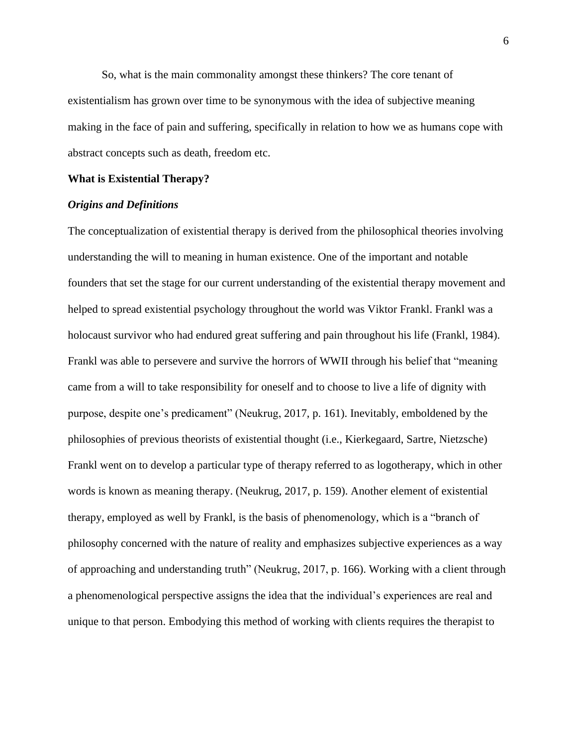So, what is the main commonality amongst these thinkers? The core tenant of existentialism has grown over time to be synonymous with the idea of subjective meaning making in the face of pain and suffering, specifically in relation to how we as humans cope with abstract concepts such as death, freedom etc.

## **What is Existential Therapy?**

## *Origins and Definitions*

The conceptualization of existential therapy is derived from the philosophical theories involving understanding the will to meaning in human existence. One of the important and notable founders that set the stage for our current understanding of the existential therapy movement and helped to spread existential psychology throughout the world was Viktor Frankl. Frankl was a holocaust survivor who had endured great suffering and pain throughout his life (Frankl, 1984). Frankl was able to persevere and survive the horrors of WWII through his belief that "meaning came from a will to take responsibility for oneself and to choose to live a life of dignity with purpose, despite one's predicament" (Neukrug, 2017, p. 161). Inevitably, emboldened by the philosophies of previous theorists of existential thought (i.e., Kierkegaard, Sartre, Nietzsche) Frankl went on to develop a particular type of therapy referred to as logotherapy, which in other words is known as meaning therapy. (Neukrug, 2017, p. 159). Another element of existential therapy, employed as well by Frankl, is the basis of phenomenology, which is a "branch of philosophy concerned with the nature of reality and emphasizes subjective experiences as a way of approaching and understanding truth" (Neukrug, 2017, p. 166). Working with a client through a phenomenological perspective assigns the idea that the individual's experiences are real and unique to that person. Embodying this method of working with clients requires the therapist to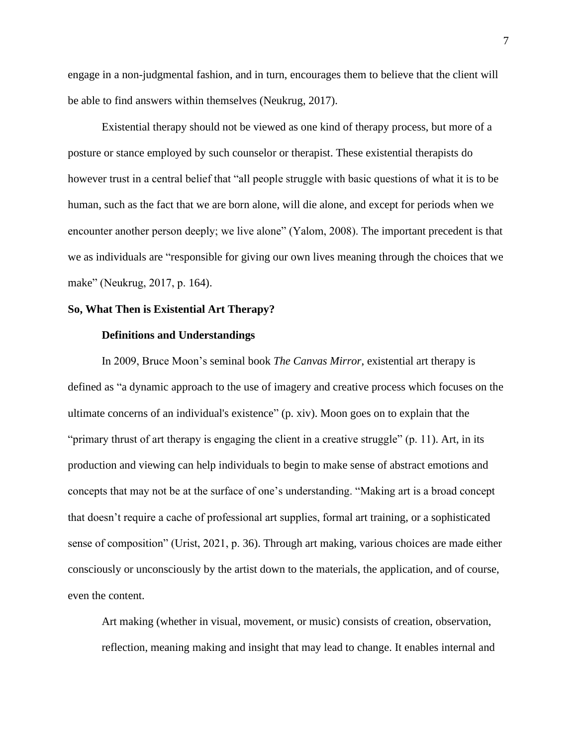engage in a non-judgmental fashion, and in turn, encourages them to believe that the client will be able to find answers within themselves (Neukrug, 2017).

Existential therapy should not be viewed as one kind of therapy process, but more of a posture or stance employed by such counselor or therapist. These existential therapists do however trust in a central belief that "all people struggle with basic questions of what it is to be human, such as the fact that we are born alone, will die alone, and except for periods when we encounter another person deeply; we live alone" (Yalom, 2008). The important precedent is that we as individuals are "responsible for giving our own lives meaning through the choices that we make" (Neukrug, 2017, p. 164).

#### **So, What Then is Existential Art Therapy?**

## **Definitions and Understandings**

In 2009, Bruce Moon's seminal book *The Canvas Mirror*, existential art therapy is defined as "a dynamic approach to the use of imagery and creative process which focuses on the ultimate concerns of an individual's existence" (p. xiv). Moon goes on to explain that the "primary thrust of art therapy is engaging the client in a creative struggle" (p. 11). Art, in its production and viewing can help individuals to begin to make sense of abstract emotions and concepts that may not be at the surface of one's understanding. "Making art is a broad concept that doesn't require a cache of professional art supplies, formal art training, or a sophisticated sense of composition" (Urist, 2021, p. 36). Through art making, various choices are made either consciously or unconsciously by the artist down to the materials, the application, and of course, even the content.

Art making (whether in visual, movement, or music) consists of creation, observation, reflection, meaning making and insight that may lead to change. It enables internal and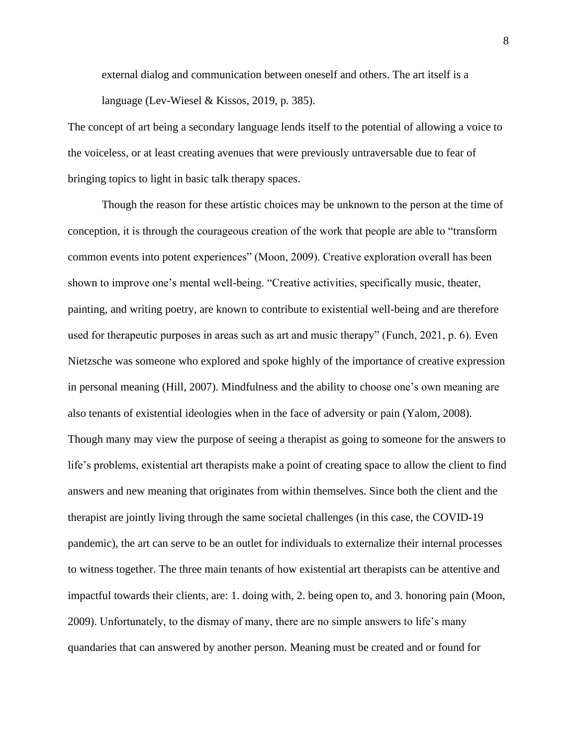external dialog and communication between oneself and others. The art itself is a language (Lev-Wiesel & Kissos, 2019, p. 385).

The concept of art being a secondary language lends itself to the potential of allowing a voice to the voiceless, or at least creating avenues that were previously untraversable due to fear of bringing topics to light in basic talk therapy spaces.

Though the reason for these artistic choices may be unknown to the person at the time of conception, it is through the courageous creation of the work that people are able to "transform common events into potent experiences" (Moon, 2009). Creative exploration overall has been shown to improve one's mental well-being. "Creative activities, specifically music, theater, painting, and writing poetry, are known to contribute to existential well-being and are therefore used for therapeutic purposes in areas such as art and music therapy" (Funch, 2021, p. 6). Even Nietzsche was someone who explored and spoke highly of the importance of creative expression in personal meaning (Hill, 2007). Mindfulness and the ability to choose one's own meaning are also tenants of existential ideologies when in the face of adversity or pain (Yalom, 2008). Though many may view the purpose of seeing a therapist as going to someone for the answers to life's problems, existential art therapists make a point of creating space to allow the client to find answers and new meaning that originates from within themselves. Since both the client and the therapist are jointly living through the same societal challenges (in this case, the COVID-19 pandemic), the art can serve to be an outlet for individuals to externalize their internal processes to witness together. The three main tenants of how existential art therapists can be attentive and impactful towards their clients, are: 1. doing with, 2. being open to, and 3. honoring pain (Moon, 2009). Unfortunately, to the dismay of many, there are no simple answers to life's many quandaries that can answered by another person. Meaning must be created and or found for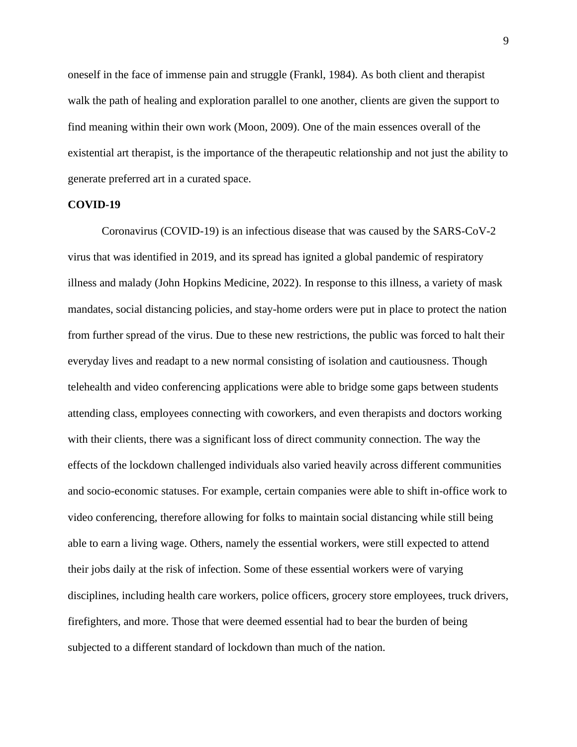oneself in the face of immense pain and struggle (Frankl, 1984). As both client and therapist walk the path of healing and exploration parallel to one another, clients are given the support to find meaning within their own work (Moon, 2009). One of the main essences overall of the existential art therapist, is the importance of the therapeutic relationship and not just the ability to generate preferred art in a curated space.

#### **COVID-19**

Coronavirus (COVID-19) is an infectious disease that was caused by the SARS-CoV-2 virus that was identified in 2019, and its spread has ignited a global pandemic of respiratory illness and malady (John Hopkins Medicine, 2022). In response to this illness, a variety of mask mandates, social distancing policies, and stay-home orders were put in place to protect the nation from further spread of the virus. Due to these new restrictions, the public was forced to halt their everyday lives and readapt to a new normal consisting of isolation and cautiousness. Though telehealth and video conferencing applications were able to bridge some gaps between students attending class, employees connecting with coworkers, and even therapists and doctors working with their clients, there was a significant loss of direct community connection. The way the effects of the lockdown challenged individuals also varied heavily across different communities and socio-economic statuses. For example, certain companies were able to shift in-office work to video conferencing, therefore allowing for folks to maintain social distancing while still being able to earn a living wage. Others, namely the essential workers, were still expected to attend their jobs daily at the risk of infection. Some of these essential workers were of varying disciplines, including health care workers, police officers, grocery store employees, truck drivers, firefighters, and more. Those that were deemed essential had to bear the burden of being subjected to a different standard of lockdown than much of the nation.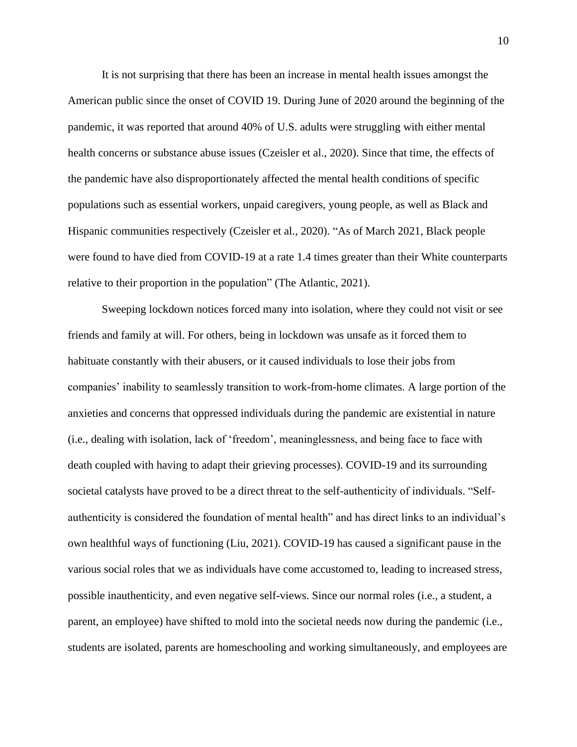It is not surprising that there has been an increase in mental health issues amongst the American public since the onset of COVID 19. During June of 2020 around the beginning of the pandemic, it was reported that around 40% of U.S. adults were struggling with either mental health concerns or substance abuse issues (Czeisler et al., 2020). Since that time, the effects of the pandemic have also disproportionately affected the mental health conditions of specific populations such as essential workers, unpaid caregivers, young people, as well as Black and Hispanic communities respectively (Czeisler et al., 2020). "As of March 2021, Black people were found to have died from COVID-19 at a rate 1.4 times greater than their White counterparts relative to their proportion in the population" (The Atlantic, 2021).

Sweeping lockdown notices forced many into isolation, where they could not visit or see friends and family at will. For others, being in lockdown was unsafe as it forced them to habituate constantly with their abusers, or it caused individuals to lose their jobs from companies' inability to seamlessly transition to work-from-home climates. A large portion of the anxieties and concerns that oppressed individuals during the pandemic are existential in nature (i.e., dealing with isolation, lack of 'freedom', meaninglessness, and being face to face with death coupled with having to adapt their grieving processes). COVID-19 and its surrounding societal catalysts have proved to be a direct threat to the self-authenticity of individuals. "Selfauthenticity is considered the foundation of mental health" and has direct links to an individual's own healthful ways of functioning (Liu, 2021). COVID-19 has caused a significant pause in the various social roles that we as individuals have come accustomed to, leading to increased stress, possible inauthenticity, and even negative self-views. Since our normal roles (i.e., a student, a parent, an employee) have shifted to mold into the societal needs now during the pandemic (i.e., students are isolated, parents are homeschooling and working simultaneously, and employees are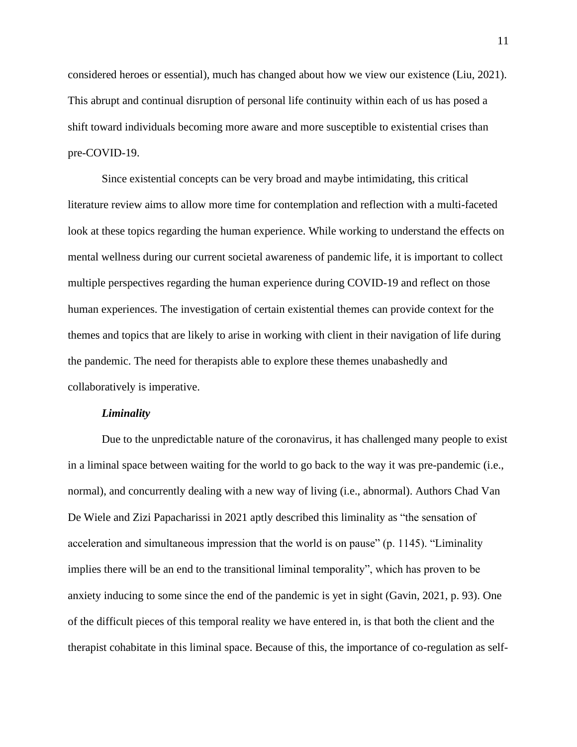considered heroes or essential), much has changed about how we view our existence (Liu, 2021). This abrupt and continual disruption of personal life continuity within each of us has posed a shift toward individuals becoming more aware and more susceptible to existential crises than pre-COVID-19.

Since existential concepts can be very broad and maybe intimidating, this critical literature review aims to allow more time for contemplation and reflection with a multi-faceted look at these topics regarding the human experience. While working to understand the effects on mental wellness during our current societal awareness of pandemic life, it is important to collect multiple perspectives regarding the human experience during COVID-19 and reflect on those human experiences. The investigation of certain existential themes can provide context for the themes and topics that are likely to arise in working with client in their navigation of life during the pandemic. The need for therapists able to explore these themes unabashedly and collaboratively is imperative.

#### *Liminality*

Due to the unpredictable nature of the coronavirus, it has challenged many people to exist in a liminal space between waiting for the world to go back to the way it was pre-pandemic (i.e., normal), and concurrently dealing with a new way of living (i.e., abnormal). Authors Chad Van De Wiele and Zizi Papacharissi in 2021 aptly described this liminality as "the sensation of acceleration and simultaneous impression that the world is on pause" (p. 1145). "Liminality implies there will be an end to the transitional liminal temporality", which has proven to be anxiety inducing to some since the end of the pandemic is yet in sight (Gavin, 2021, p. 93). One of the difficult pieces of this temporal reality we have entered in, is that both the client and the therapist cohabitate in this liminal space. Because of this, the importance of co-regulation as self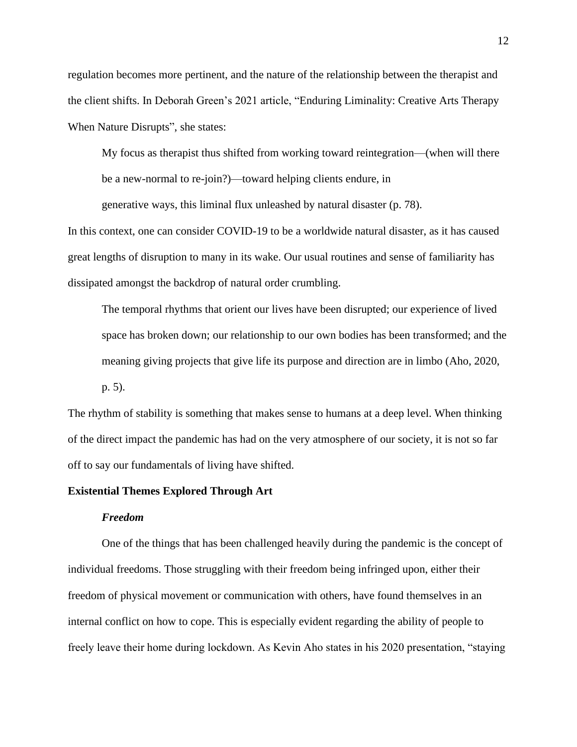regulation becomes more pertinent, and the nature of the relationship between the therapist and the client shifts. In Deborah Green's 2021 article, "Enduring Liminality: Creative Arts Therapy When Nature Disrupts", she states:

My focus as therapist thus shifted from working toward reintegration—(when will there be a new-normal to re-join?)—toward helping clients endure, in

generative ways, this liminal flux unleashed by natural disaster (p. 78).

In this context, one can consider COVID-19 to be a worldwide natural disaster, as it has caused great lengths of disruption to many in its wake. Our usual routines and sense of familiarity has dissipated amongst the backdrop of natural order crumbling.

The temporal rhythms that orient our lives have been disrupted; our experience of lived space has broken down; our relationship to our own bodies has been transformed; and the meaning giving projects that give life its purpose and direction are in limbo (Aho, 2020, p. 5).

The rhythm of stability is something that makes sense to humans at a deep level. When thinking of the direct impact the pandemic has had on the very atmosphere of our society, it is not so far off to say our fundamentals of living have shifted.

## **Existential Themes Explored Through Art**

## *Freedom*

One of the things that has been challenged heavily during the pandemic is the concept of individual freedoms. Those struggling with their freedom being infringed upon, either their freedom of physical movement or communication with others, have found themselves in an internal conflict on how to cope. This is especially evident regarding the ability of people to freely leave their home during lockdown. As Kevin Aho states in his 2020 presentation, "staying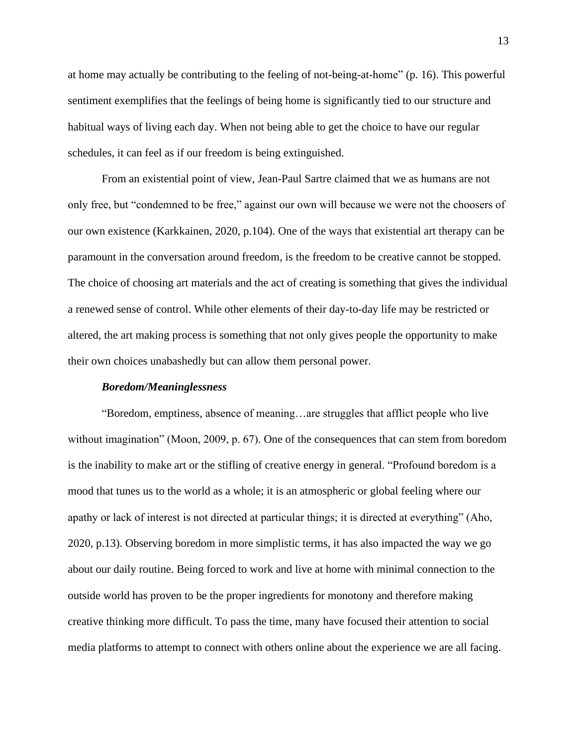at home may actually be contributing to the feeling of not-being-at-home" (p. 16). This powerful sentiment exemplifies that the feelings of being home is significantly tied to our structure and habitual ways of living each day. When not being able to get the choice to have our regular schedules, it can feel as if our freedom is being extinguished.

From an existential point of view, Jean-Paul Sartre claimed that we as humans are not only free, but "condemned to be free," against our own will because we were not the choosers of our own existence (Karkkainen, 2020, p.104). One of the ways that existential art therapy can be paramount in the conversation around freedom, is the freedom to be creative cannot be stopped. The choice of choosing art materials and the act of creating is something that gives the individual a renewed sense of control. While other elements of their day-to-day life may be restricted or altered, the art making process is something that not only gives people the opportunity to make their own choices unabashedly but can allow them personal power.

## *Boredom/Meaninglessness*

"Boredom, emptiness, absence of meaning…are struggles that afflict people who live without imagination" (Moon, 2009, p. 67). One of the consequences that can stem from boredom is the inability to make art or the stifling of creative energy in general. "Profound boredom is a mood that tunes us to the world as a whole; it is an atmospheric or global feeling where our apathy or lack of interest is not directed at particular things; it is directed at everything" (Aho, 2020, p.13). Observing boredom in more simplistic terms, it has also impacted the way we go about our daily routine. Being forced to work and live at home with minimal connection to the outside world has proven to be the proper ingredients for monotony and therefore making creative thinking more difficult. To pass the time, many have focused their attention to social media platforms to attempt to connect with others online about the experience we are all facing.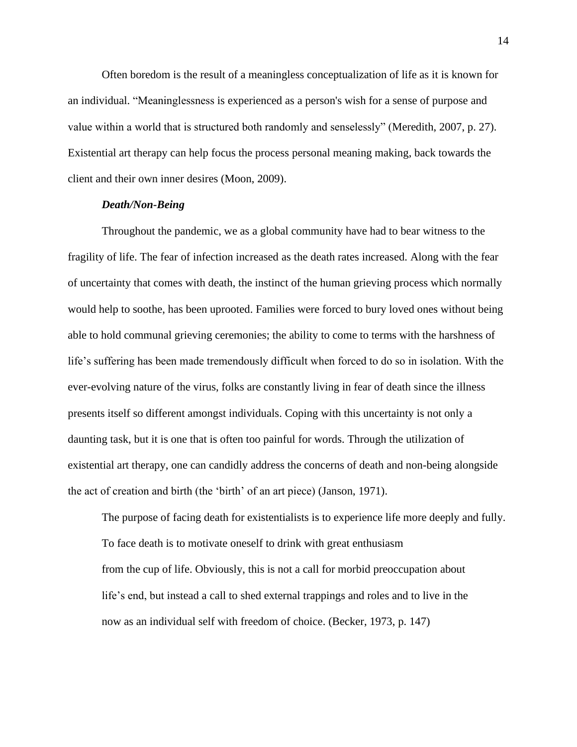Often boredom is the result of a meaningless conceptualization of life as it is known for an individual. "Meaninglessness is experienced as a person's wish for a sense of purpose and value within a world that is structured both randomly and senselessly" (Meredith, 2007, p. 27). Existential art therapy can help focus the process personal meaning making, back towards the client and their own inner desires (Moon, 2009).

## *Death/Non-Being*

Throughout the pandemic, we as a global community have had to bear witness to the fragility of life. The fear of infection increased as the death rates increased. Along with the fear of uncertainty that comes with death, the instinct of the human grieving process which normally would help to soothe, has been uprooted. Families were forced to bury loved ones without being able to hold communal grieving ceremonies; the ability to come to terms with the harshness of life's suffering has been made tremendously difficult when forced to do so in isolation. With the ever-evolving nature of the virus, folks are constantly living in fear of death since the illness presents itself so different amongst individuals. Coping with this uncertainty is not only a daunting task, but it is one that is often too painful for words. Through the utilization of existential art therapy, one can candidly address the concerns of death and non-being alongside the act of creation and birth (the 'birth' of an art piece) (Janson, 1971).

The purpose of facing death for existentialists is to experience life more deeply and fully. To face death is to motivate oneself to drink with great enthusiasm from the cup of life. Obviously, this is not a call for morbid preoccupation about life's end, but instead a call to shed external trappings and roles and to live in the now as an individual self with freedom of choice. (Becker, 1973, p. 147)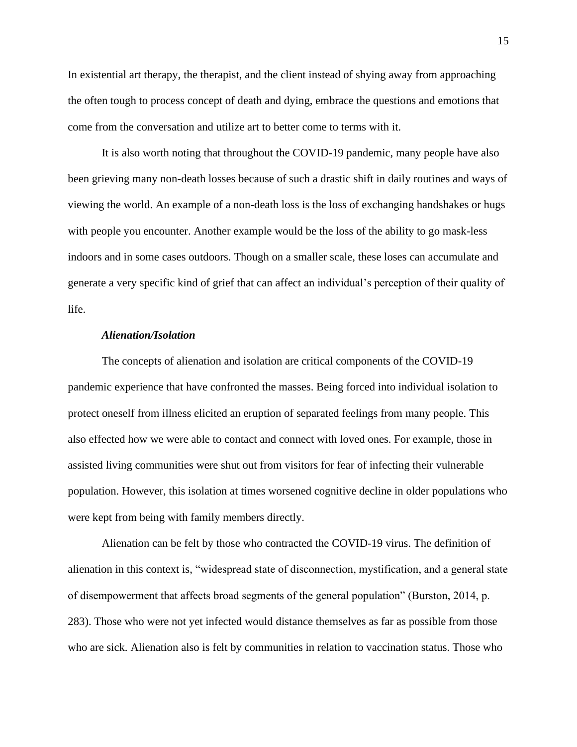In existential art therapy, the therapist, and the client instead of shying away from approaching the often tough to process concept of death and dying, embrace the questions and emotions that come from the conversation and utilize art to better come to terms with it.

It is also worth noting that throughout the COVID-19 pandemic, many people have also been grieving many non-death losses because of such a drastic shift in daily routines and ways of viewing the world. An example of a non-death loss is the loss of exchanging handshakes or hugs with people you encounter. Another example would be the loss of the ability to go mask-less indoors and in some cases outdoors. Though on a smaller scale, these loses can accumulate and generate a very specific kind of grief that can affect an individual's perception of their quality of life.

## *Alienation/Isolation*

The concepts of alienation and isolation are critical components of the COVID-19 pandemic experience that have confronted the masses. Being forced into individual isolation to protect oneself from illness elicited an eruption of separated feelings from many people. This also effected how we were able to contact and connect with loved ones. For example, those in assisted living communities were shut out from visitors for fear of infecting their vulnerable population. However, this isolation at times worsened cognitive decline in older populations who were kept from being with family members directly.

Alienation can be felt by those who contracted the COVID-19 virus. The definition of alienation in this context is, "widespread state of disconnection, mystification, and a general state of disempowerment that affects broad segments of the general population" (Burston, 2014, p. 283). Those who were not yet infected would distance themselves as far as possible from those who are sick. Alienation also is felt by communities in relation to vaccination status. Those who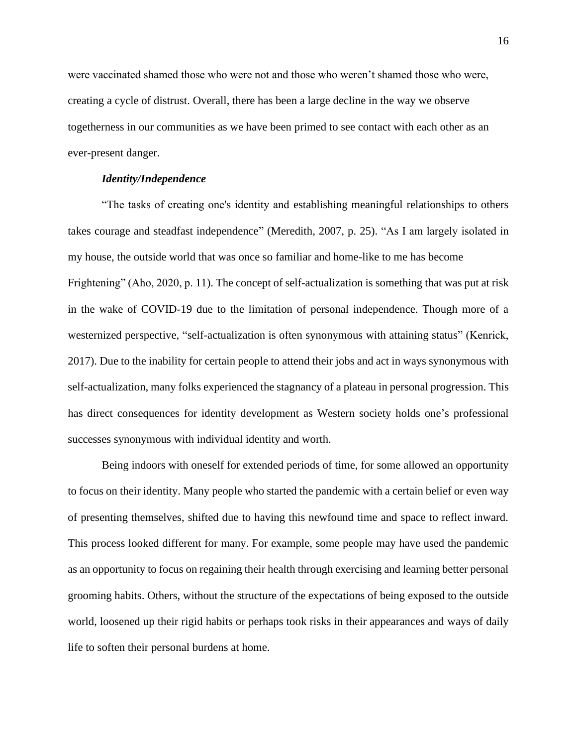were vaccinated shamed those who were not and those who weren't shamed those who were, creating a cycle of distrust. Overall, there has been a large decline in the way we observe togetherness in our communities as we have been primed to see contact with each other as an ever-present danger.

#### *Identity/Independence*

"The tasks of creating one's identity and establishing meaningful relationships to others takes courage and steadfast independence" (Meredith, 2007, p. 25). "As I am largely isolated in my house, the outside world that was once so familiar and home-like to me has become Frightening" (Aho, 2020, p. 11). The concept of self-actualization is something that was put at risk in the wake of COVID-19 due to the limitation of personal independence. Though more of a westernized perspective, "self-actualization is often synonymous with attaining status" (Kenrick, 2017). Due to the inability for certain people to attend their jobs and act in ways synonymous with self-actualization, many folks experienced the stagnancy of a plateau in personal progression. This has direct consequences for identity development as Western society holds one's professional successes synonymous with individual identity and worth.

Being indoors with oneself for extended periods of time, for some allowed an opportunity to focus on their identity. Many people who started the pandemic with a certain belief or even way of presenting themselves, shifted due to having this newfound time and space to reflect inward. This process looked different for many. For example, some people may have used the pandemic as an opportunity to focus on regaining their health through exercising and learning better personal grooming habits. Others, without the structure of the expectations of being exposed to the outside world, loosened up their rigid habits or perhaps took risks in their appearances and ways of daily life to soften their personal burdens at home.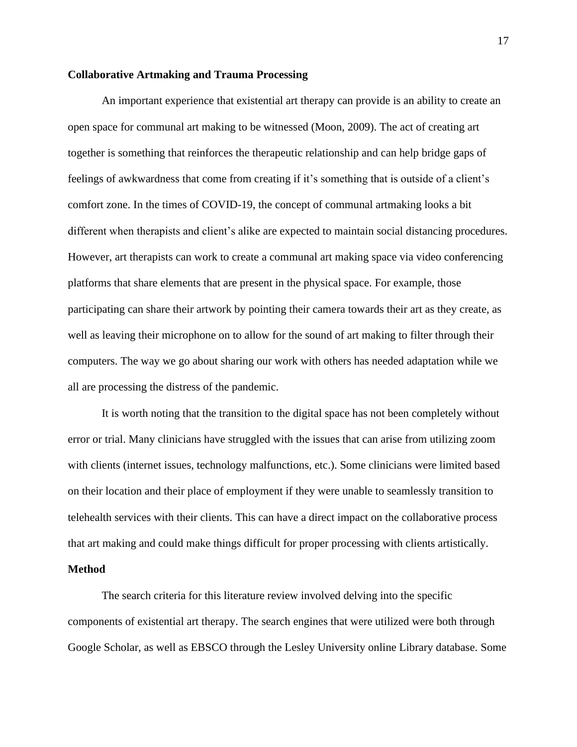#### **Collaborative Artmaking and Trauma Processing**

An important experience that existential art therapy can provide is an ability to create an open space for communal art making to be witnessed (Moon, 2009). The act of creating art together is something that reinforces the therapeutic relationship and can help bridge gaps of feelings of awkwardness that come from creating if it's something that is outside of a client's comfort zone. In the times of COVID-19, the concept of communal artmaking looks a bit different when therapists and client's alike are expected to maintain social distancing procedures. However, art therapists can work to create a communal art making space via video conferencing platforms that share elements that are present in the physical space. For example, those participating can share their artwork by pointing their camera towards their art as they create, as well as leaving their microphone on to allow for the sound of art making to filter through their computers. The way we go about sharing our work with others has needed adaptation while we all are processing the distress of the pandemic.

It is worth noting that the transition to the digital space has not been completely without error or trial. Many clinicians have struggled with the issues that can arise from utilizing zoom with clients (internet issues, technology malfunctions, etc.). Some clinicians were limited based on their location and their place of employment if they were unable to seamlessly transition to telehealth services with their clients. This can have a direct impact on the collaborative process that art making and could make things difficult for proper processing with clients artistically.

## **Method**

The search criteria for this literature review involved delving into the specific components of existential art therapy. The search engines that were utilized were both through Google Scholar, as well as EBSCO through the Lesley University online Library database. Some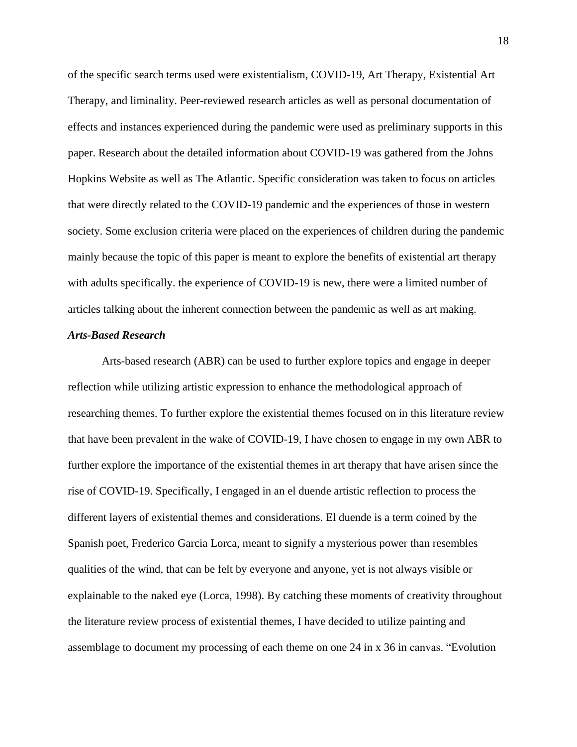of the specific search terms used were existentialism, COVID-19, Art Therapy, Existential Art Therapy, and liminality. Peer-reviewed research articles as well as personal documentation of effects and instances experienced during the pandemic were used as preliminary supports in this paper. Research about the detailed information about COVID-19 was gathered from the Johns Hopkins Website as well as The Atlantic. Specific consideration was taken to focus on articles that were directly related to the COVID-19 pandemic and the experiences of those in western society. Some exclusion criteria were placed on the experiences of children during the pandemic mainly because the topic of this paper is meant to explore the benefits of existential art therapy with adults specifically. the experience of COVID-19 is new, there were a limited number of articles talking about the inherent connection between the pandemic as well as art making.

## *Arts-Based Research*

Arts-based research (ABR) can be used to further explore topics and engage in deeper reflection while utilizing artistic expression to enhance the methodological approach of researching themes. To further explore the existential themes focused on in this literature review that have been prevalent in the wake of COVID-19, I have chosen to engage in my own ABR to further explore the importance of the existential themes in art therapy that have arisen since the rise of COVID-19. Specifically, I engaged in an el duende artistic reflection to process the different layers of existential themes and considerations. El duende is a term coined by the Spanish poet, Frederico Garcia Lorca, meant to signify a mysterious power than resembles qualities of the wind, that can be felt by everyone and anyone, yet is not always visible or explainable to the naked eye (Lorca, 1998). By catching these moments of creativity throughout the literature review process of existential themes, I have decided to utilize painting and assemblage to document my processing of each theme on one 24 in x 36 in canvas. "Evolution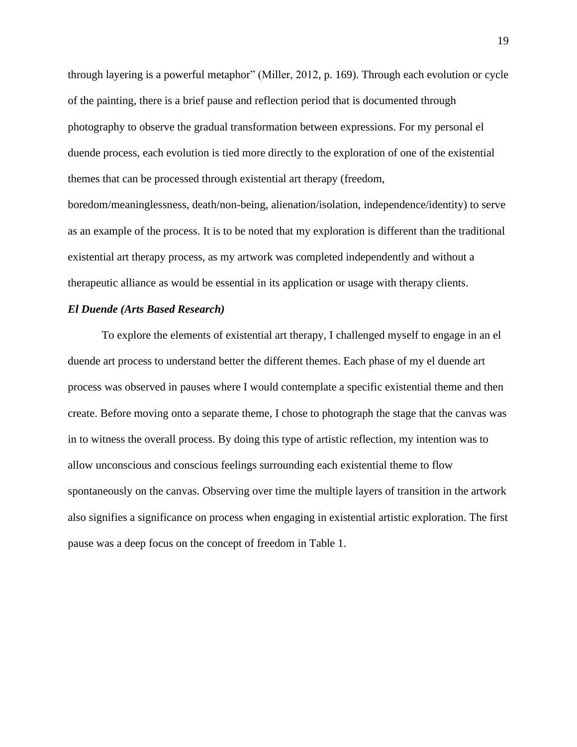through layering is a powerful metaphor" (Miller, 2012, p. 169). Through each evolution or cycle of the painting, there is a brief pause and reflection period that is documented through photography to observe the gradual transformation between expressions. For my personal el duende process, each evolution is tied more directly to the exploration of one of the existential themes that can be processed through existential art therapy (freedom,

boredom/meaninglessness, death/non-being, alienation/isolation, independence/identity) to serve as an example of the process. It is to be noted that my exploration is different than the traditional existential art therapy process, as my artwork was completed independently and without a therapeutic alliance as would be essential in its application or usage with therapy clients.

## *El Duende (Arts Based Research)*

To explore the elements of existential art therapy, I challenged myself to engage in an el duende art process to understand better the different themes. Each phase of my el duende art process was observed in pauses where I would contemplate a specific existential theme and then create. Before moving onto a separate theme, I chose to photograph the stage that the canvas was in to witness the overall process. By doing this type of artistic reflection, my intention was to allow unconscious and conscious feelings surrounding each existential theme to flow spontaneously on the canvas. Observing over time the multiple layers of transition in the artwork also signifies a significance on process when engaging in existential artistic exploration. The first pause was a deep focus on the concept of freedom in Table 1.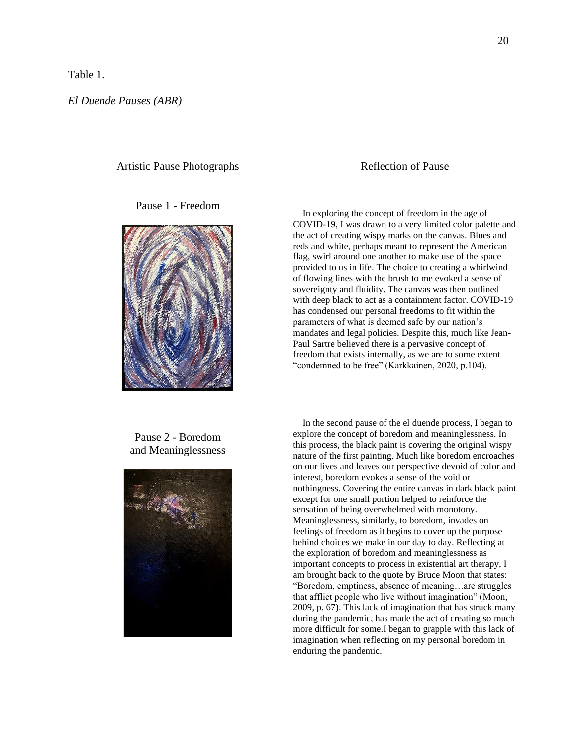#### Table 1.

Artistic Pause Photographs Reflection of Pause

#### Pause 1 - Freedom



## Pause 2 - Boredom and Meaninglessness



 In exploring the concept of freedom in the age of COVID-19, I was drawn to a very limited color palette and the act of creating wispy marks on the canvas. Blues and reds and white, perhaps meant to represent the American flag, swirl around one another to make use of the space provided to us in life. The choice to creating a whirlwind of flowing lines with the brush to me evoked a sense of sovereignty and fluidity. The canvas was then outlined with deep black to act as a containment factor. COVID-19 has condensed our personal freedoms to fit within the parameters of what is deemed safe by our nation's mandates and legal policies. Despite this, much like Jean-Paul Sartre believed there is a pervasive concept of freedom that exists internally, as we are to some extent "condemned to be free" (Karkkainen, 2020, p.104).

 In the second pause of the el duende process, I began to explore the concept of boredom and meaninglessness. In this process, the black paint is covering the original wispy nature of the first painting. Much like boredom encroaches on our lives and leaves our perspective devoid of color and interest, boredom evokes a sense of the void or nothingness. Covering the entire canvas in dark black paint except for one small portion helped to reinforce the sensation of being overwhelmed with monotony. Meaninglessness, similarly, to boredom, invades on feelings of freedom as it begins to cover up the purpose behind choices we make in our day to day. Reflecting at the exploration of boredom and meaninglessness as important concepts to process in existential art therapy, I am brought back to the quote by Bruce Moon that states: "Boredom, emptiness, absence of meaning…are struggles that afflict people who live without imagination" (Moon, 2009, p. 67). This lack of imagination that has struck many during the pandemic, has made the act of creating so much more difficult for some.I began to grapple with this lack of imagination when reflecting on my personal boredom in enduring the pandemic.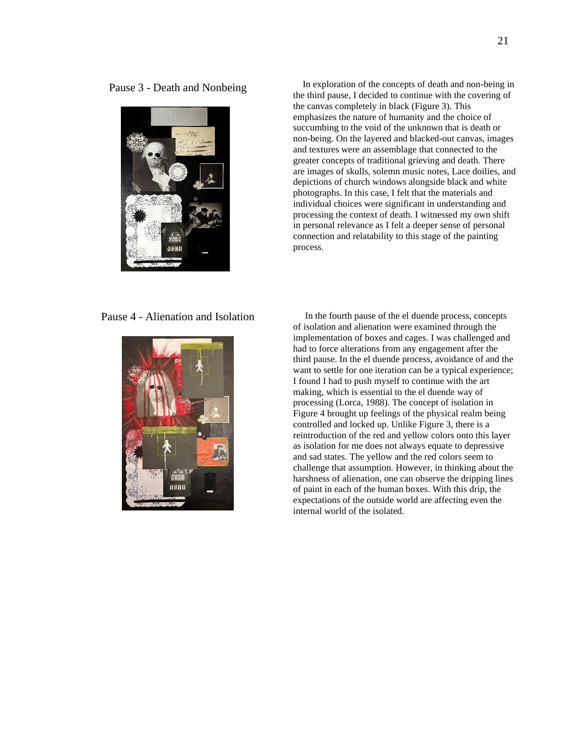Pause 3 - Death and Nonbeing



 In exploration of the concepts of death and non-being in the third pause, I decided to continue with the covering of the canvas completely in black (Figure 3). This emphasizes the nature of humanity and the choice of succumbing to the void of the unknown that is death or non-being. On the layered and blacked-out canvas, images and textures were an assemblage that connected to the greater concepts of traditional grieving and death. There are images of skulls, solemn music notes, Lace doilies, and depictions of church windows alongside black and white photographs. In this case, I felt that the materials and individual choices were significant in understanding and processing the context of death. I witnessed my own shift in personal relevance as I felt a deeper sense of personal connection and relatability to this stage of the painting process.



Pause 4 - Alienation and Isolation In the fourth pause of the el duende process, concepts of isolation and alienation were examined through the implementation of boxes and cages. I was challenged and had to force alterations from any engagement after the third pause. In the el duende process, avoidance of and the want to settle for one iteration can be a typical experience; I found I had to push myself to continue with the art making, which is essential to the el duende way of processing (Lorca, 1988). The concept of isolation in Figure 4 brought up feelings of the physical realm being controlled and locked up. Unlike Figure 3, there is a reintroduction of the red and yellow colors onto this layer as isolation for me does not always equate to depressive and sad states. The yellow and the red colors seem to challenge that assumption. However, in thinking about the harshness of alienation, one can observe the dripping lines of paint in each of the human boxes. With this drip, the expectations of the outside world are affecting even the internal world of the isolated.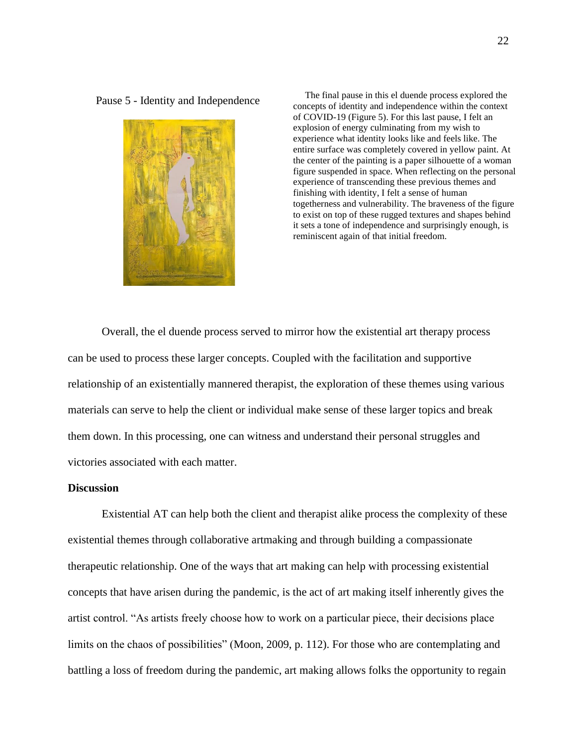

Pause 5 - Identity and Independence<br>
Pause in this el duende process explored the<br>
parameters of identity and independence<br>
parameters within the content concepts of identity and independence within the context of COVID-19 (Figure 5). For this last pause, I felt an explosion of energy culminating from my wish to experience what identity looks like and feels like. The entire surface was completely covered in yellow paint. At the center of the painting is a paper silhouette of a woman figure suspended in space. When reflecting on the personal experience of transcending these previous themes and finishing with identity, I felt a sense of human togetherness and vulnerability. The braveness of the figure to exist on top of these rugged textures and shapes behind it sets a tone of independence and surprisingly enough, is reminiscent again of that initial freedom.

Overall, the el duende process served to mirror how the existential art therapy process can be used to process these larger concepts. Coupled with the facilitation and supportive relationship of an existentially mannered therapist, the exploration of these themes using various materials can serve to help the client or individual make sense of these larger topics and break them down. In this processing, one can witness and understand their personal struggles and victories associated with each matter.

## **Discussion**

Existential AT can help both the client and therapist alike process the complexity of these existential themes through collaborative artmaking and through building a compassionate therapeutic relationship. One of the ways that art making can help with processing existential concepts that have arisen during the pandemic, is the act of art making itself inherently gives the artist control. "As artists freely choose how to work on a particular piece, their decisions place limits on the chaos of possibilities" (Moon, 2009, p. 112). For those who are contemplating and battling a loss of freedom during the pandemic, art making allows folks the opportunity to regain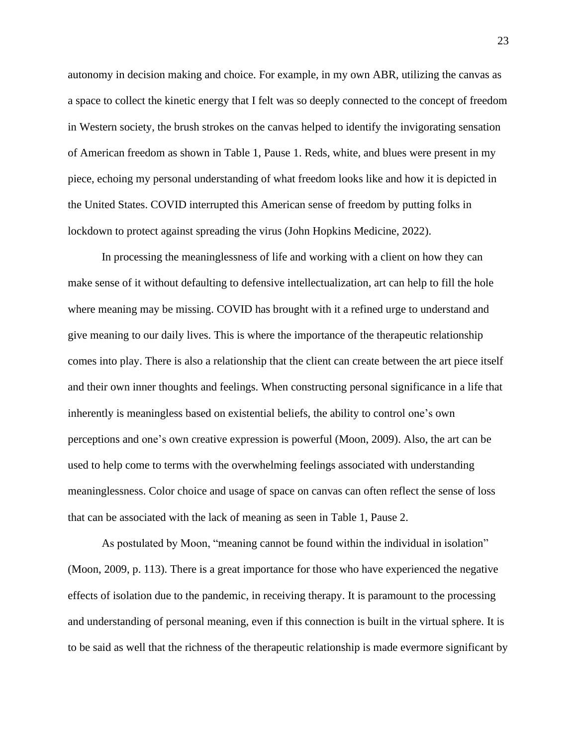autonomy in decision making and choice. For example, in my own ABR, utilizing the canvas as a space to collect the kinetic energy that I felt was so deeply connected to the concept of freedom in Western society, the brush strokes on the canvas helped to identify the invigorating sensation of American freedom as shown in Table 1, Pause 1. Reds, white, and blues were present in my piece, echoing my personal understanding of what freedom looks like and how it is depicted in the United States. COVID interrupted this American sense of freedom by putting folks in lockdown to protect against spreading the virus (John Hopkins Medicine, 2022).

In processing the meaninglessness of life and working with a client on how they can make sense of it without defaulting to defensive intellectualization, art can help to fill the hole where meaning may be missing. COVID has brought with it a refined urge to understand and give meaning to our daily lives. This is where the importance of the therapeutic relationship comes into play. There is also a relationship that the client can create between the art piece itself and their own inner thoughts and feelings. When constructing personal significance in a life that inherently is meaningless based on existential beliefs, the ability to control one's own perceptions and one's own creative expression is powerful (Moon, 2009). Also, the art can be used to help come to terms with the overwhelming feelings associated with understanding meaninglessness. Color choice and usage of space on canvas can often reflect the sense of loss that can be associated with the lack of meaning as seen in Table 1, Pause 2.

As postulated by Moon, "meaning cannot be found within the individual in isolation" (Moon, 2009, p. 113). There is a great importance for those who have experienced the negative effects of isolation due to the pandemic, in receiving therapy. It is paramount to the processing and understanding of personal meaning, even if this connection is built in the virtual sphere. It is to be said as well that the richness of the therapeutic relationship is made evermore significant by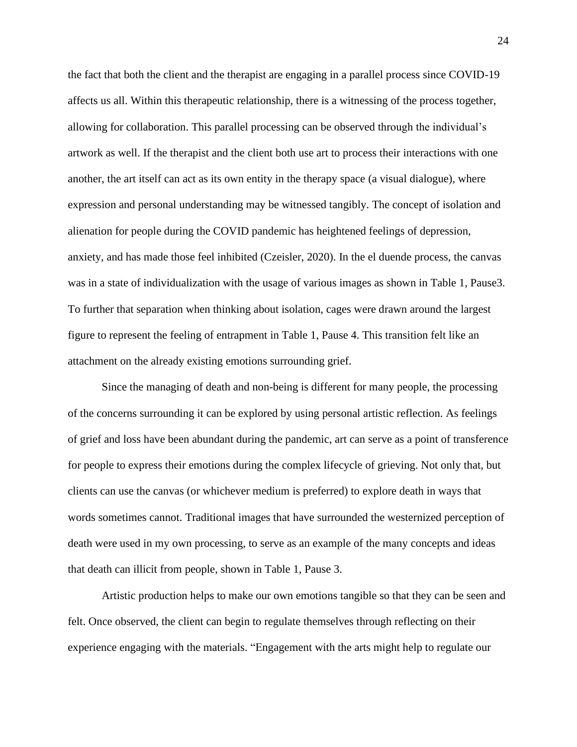the fact that both the client and the therapist are engaging in a parallel process since COVID-19 affects us all. Within this therapeutic relationship, there is a witnessing of the process together, allowing for collaboration. This parallel processing can be observed through the individual's artwork as well. If the therapist and the client both use art to process their interactions with one another, the art itself can act as its own entity in the therapy space (a visual dialogue), where expression and personal understanding may be witnessed tangibly. The concept of isolation and alienation for people during the COVID pandemic has heightened feelings of depression, anxiety, and has made those feel inhibited (Czeisler, 2020). In the el duende process, the canvas was in a state of individualization with the usage of various images as shown in Table 1, Pause3. To further that separation when thinking about isolation, cages were drawn around the largest figure to represent the feeling of entrapment in Table 1, Pause 4. This transition felt like an attachment on the already existing emotions surrounding grief.

Since the managing of death and non-being is different for many people, the processing of the concerns surrounding it can be explored by using personal artistic reflection. As feelings of grief and loss have been abundant during the pandemic, art can serve as a point of transference for people to express their emotions during the complex lifecycle of grieving. Not only that, but clients can use the canvas (or whichever medium is preferred) to explore death in ways that words sometimes cannot. Traditional images that have surrounded the westernized perception of death were used in my own processing, to serve as an example of the many concepts and ideas that death can illicit from people, shown in Table 1, Pause 3.

Artistic production helps to make our own emotions tangible so that they can be seen and felt. Once observed, the client can begin to regulate themselves through reflecting on their experience engaging with the materials. "Engagement with the arts might help to regulate our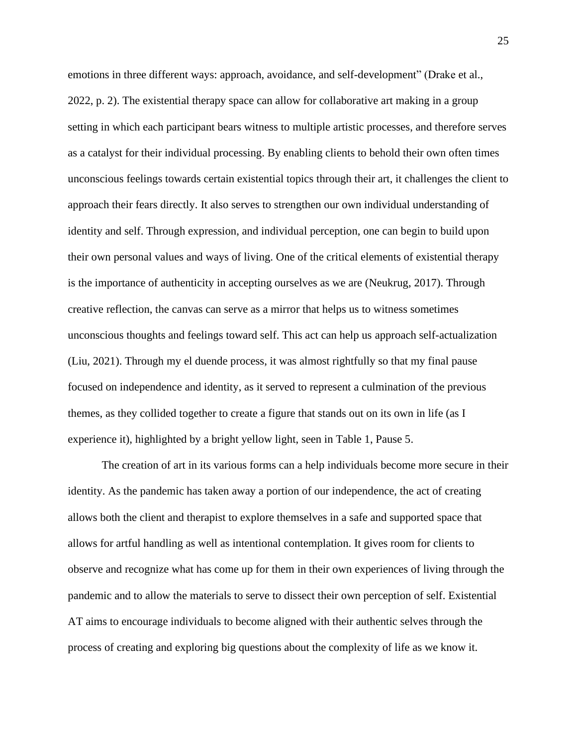emotions in three different ways: approach, avoidance, and self-development" (Drake et al., 2022, p. 2). The existential therapy space can allow for collaborative art making in a group setting in which each participant bears witness to multiple artistic processes, and therefore serves as a catalyst for their individual processing. By enabling clients to behold their own often times unconscious feelings towards certain existential topics through their art, it challenges the client to approach their fears directly. It also serves to strengthen our own individual understanding of identity and self. Through expression, and individual perception, one can begin to build upon their own personal values and ways of living. One of the critical elements of existential therapy is the importance of authenticity in accepting ourselves as we are (Neukrug, 2017). Through creative reflection, the canvas can serve as a mirror that helps us to witness sometimes unconscious thoughts and feelings toward self. This act can help us approach self-actualization (Liu, 2021). Through my el duende process, it was almost rightfully so that my final pause focused on independence and identity, as it served to represent a culmination of the previous themes, as they collided together to create a figure that stands out on its own in life (as I experience it), highlighted by a bright yellow light, seen in Table 1, Pause 5.

The creation of art in its various forms can a help individuals become more secure in their identity. As the pandemic has taken away a portion of our independence, the act of creating allows both the client and therapist to explore themselves in a safe and supported space that allows for artful handling as well as intentional contemplation. It gives room for clients to observe and recognize what has come up for them in their own experiences of living through the pandemic and to allow the materials to serve to dissect their own perception of self. Existential AT aims to encourage individuals to become aligned with their authentic selves through the process of creating and exploring big questions about the complexity of life as we know it.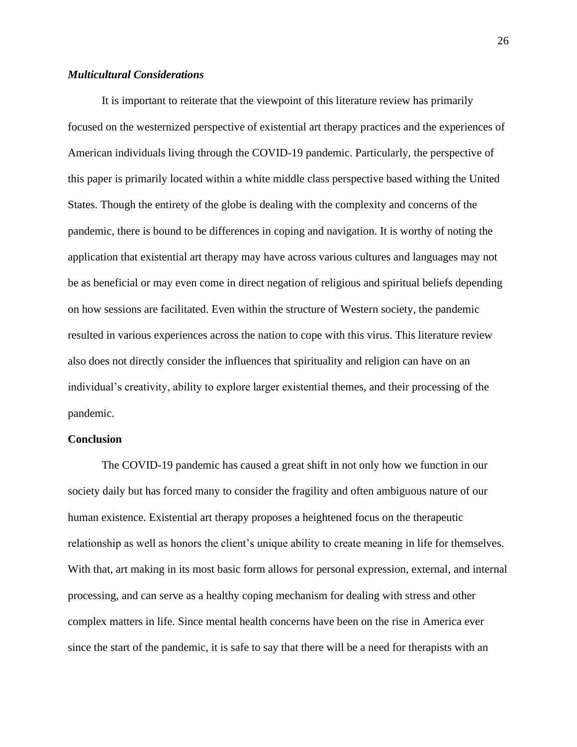## *Multicultural Considerations*

It is important to reiterate that the viewpoint of this literature review has primarily focused on the westernized perspective of existential art therapy practices and the experiences of American individuals living through the COVID-19 pandemic. Particularly, the perspective of this paper is primarily located within a white middle class perspective based withing the United States. Though the entirety of the globe is dealing with the complexity and concerns of the pandemic, there is bound to be differences in coping and navigation. It is worthy of noting the application that existential art therapy may have across various cultures and languages may not be as beneficial or may even come in direct negation of religious and spiritual beliefs depending on how sessions are facilitated. Even within the structure of Western society, the pandemic resulted in various experiences across the nation to cope with this virus. This literature review also does not directly consider the influences that spirituality and religion can have on an individual's creativity, ability to explore larger existential themes, and their processing of the pandemic.

## **Conclusion**

The COVID-19 pandemic has caused a great shift in not only how we function in our society daily but has forced many to consider the fragility and often ambiguous nature of our human existence. Existential art therapy proposes a heightened focus on the therapeutic relationship as well as honors the client's unique ability to create meaning in life for themselves. With that, art making in its most basic form allows for personal expression, external, and internal processing, and can serve as a healthy coping mechanism for dealing with stress and other complex matters in life. Since mental health concerns have been on the rise in America ever since the start of the pandemic, it is safe to say that there will be a need for therapists with an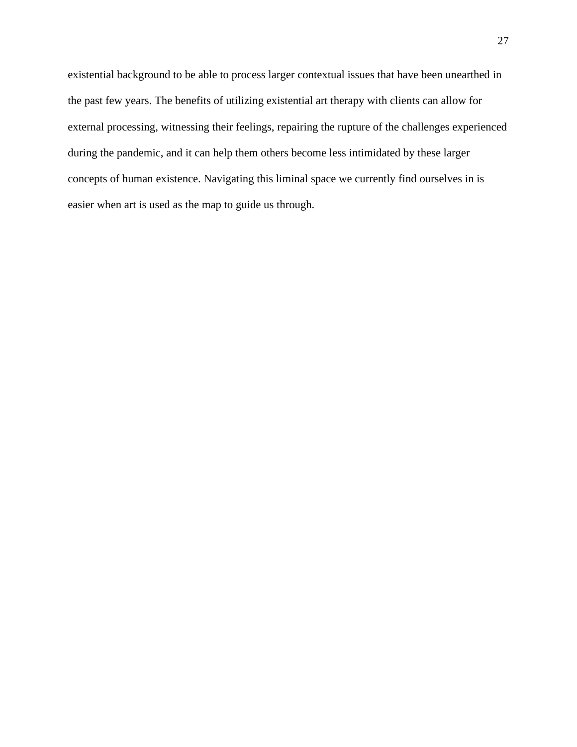existential background to be able to process larger contextual issues that have been unearthed in the past few years. The benefits of utilizing existential art therapy with clients can allow for external processing, witnessing their feelings, repairing the rupture of the challenges experienced during the pandemic, and it can help them others become less intimidated by these larger concepts of human existence. Navigating this liminal space we currently find ourselves in is easier when art is used as the map to guide us through.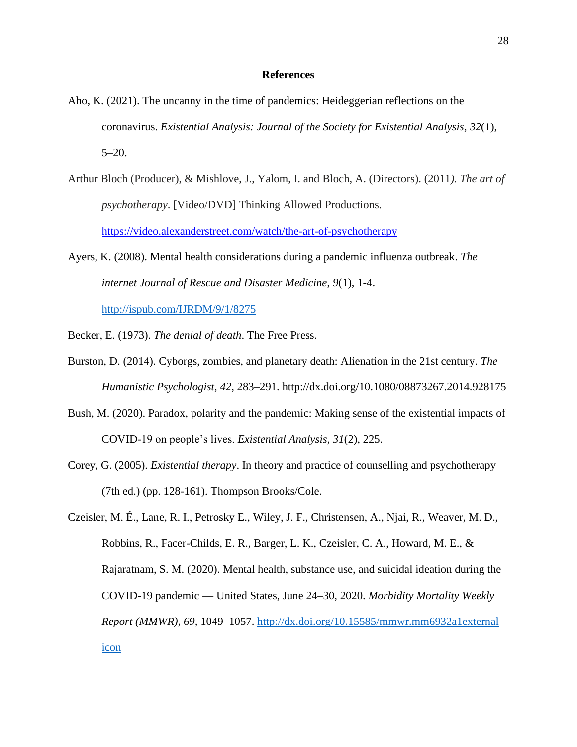## **References**

- Aho, K. (2021). The uncanny in the time of pandemics: Heideggerian reflections on the coronavirus. *Existential Analysis: Journal of the Society for Existential Analysis*, *32*(1),  $5-20.$
- Arthur Bloch (Producer), & Mishlove, J., Yalom, I. and Bloch, A. (Directors). (2011*). The art of psychotherapy*. [Video/DVD] Thinking Allowed Productions. <https://video.alexanderstreet.com/watch/the-art-of-psychotherapy>
- Ayers, K. (2008). Mental health considerations during a pandemic influenza outbreak. *The internet Journal of Rescue and Disaster Medicine*, *9*(1), 1-4.

<http://ispub.com/IJRDM/9/1/8275>

Becker, E. (1973). *The denial of death*. The Free Press.

- Burston, D. (2014). Cyborgs, zombies, and planetary death: Alienation in the 21st century. *The Humanistic Psychologist*, *42*, 283–291. http://dx.doi.org/10.1080/08873267.2014.928175
- Bush, M. (2020). Paradox, polarity and the pandemic: Making sense of the existential impacts of COVID-19 on people's lives. *Existential Analysis*, *31*(2), 225.
- Corey, G. (2005). *Existential therapy*. In theory and practice of counselling and psychotherapy (7th ed.) (pp. 128-161). Thompson Brooks/Cole.

Czeisler, M. É., Lane, R. I., Petrosky E., Wiley, J. F., Christensen, A., Njai, R., Weaver, M. D., Robbins, R., Facer-Childs, E. R., Barger, L. K., Czeisler, C. A., Howard, M. E., & Rajaratnam, S. M. (2020). Mental health, substance use, and suicidal ideation during the COVID-19 pandemic — United States, June 24–30, 2020. *Morbidity Mortality Weekly Report (MMWR)*, *69,* 1049–1057. [http://dx.doi.org/10.15585/mmwr.mm6932a1external](http://dx.doi.org/10.15585/mmwr.mm6932a1)  [icon](http://dx.doi.org/10.15585/mmwr.mm6932a1)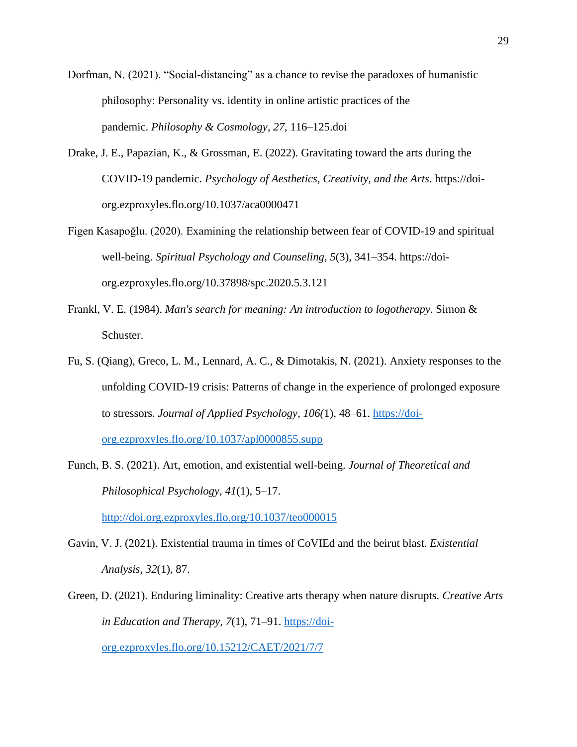- Dorfman, N. (2021). "Social-distancing" as a chance to revise the paradoxes of humanistic philosophy: Personality vs. identity in online artistic practices of the pandemic. *Philosophy & Cosmology*, *27*, 116–125.doi
- Drake, J. E., Papazian, K., & Grossman, E. (2022). Gravitating toward the arts during the COVID-19 pandemic. *Psychology of Aesthetics, Creativity, and the Arts*. https://doiorg.ezproxyles.flo.org/10.1037/aca0000471
- Figen Kasapoğlu. (2020). Examining the relationship between fear of COVID-19 and spiritual well-being. *Spiritual Psychology and Counseling*, *5*(3), 341–354. https://doiorg.ezproxyles.flo.org/10.37898/spc.2020.5.3.121
- Frankl, V. E. (1984). *Man's search for meaning: An introduction to logotherapy*. Simon & Schuster.
- Fu, S. (Qiang), Greco, L. M., Lennard, A. C., & Dimotakis, N. (2021). Anxiety responses to the unfolding COVID-19 crisis: Patterns of change in the experience of prolonged exposure to stressors. *Journal of Applied Psychology*, *106(*1), 48–61. [https://doi](https://doi-org.ezproxyles.flo.org/10.1037/apl0000855.supp)[org.ezproxyles.flo.org/10.1037/apl0000855.supp](https://doi-org.ezproxyles.flo.org/10.1037/apl0000855.supp)
- Funch, B. S. (2021). Art, emotion, and existential well-being. *Journal of Theoretical and Philosophical Psychology*, *41*(1), 5–17.

<http://doi.org.ezproxyles.flo.org/10.1037/teo000015>

- Gavin, V. J. (2021). Existential trauma in times of CoVIEd and the beirut blast. *Existential Analysis*, *32*(1), 87.
- Green, D. (2021). Enduring liminality: Creative arts therapy when nature disrupts. *Creative Arts in Education and Therapy*, *7*(1), 71–91. [https://doi](https://doi-org.ezproxyles.flo.org/10.15212/CAET/2021/7/7)[org.ezproxyles.flo.org/10.15212/CAET/2021/7/7](https://doi-org.ezproxyles.flo.org/10.15212/CAET/2021/7/7)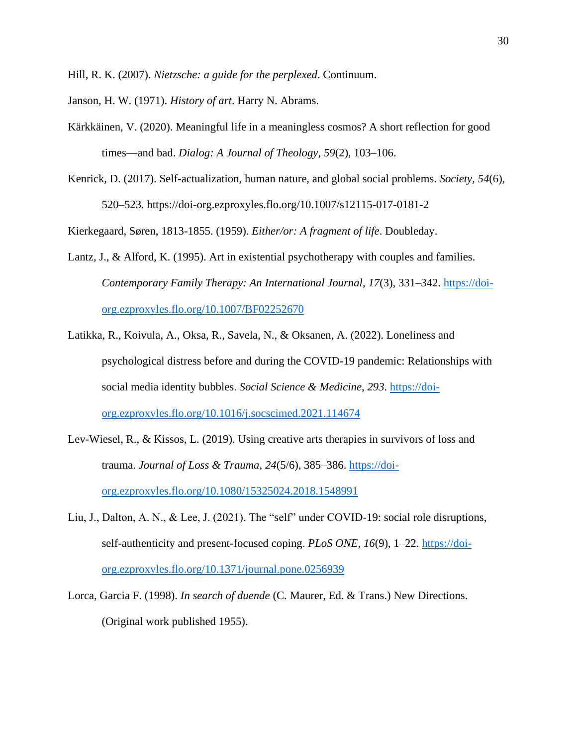Hill, R. K. (2007). *Nietzsche: a guide for the perplexed*. Continuum.

- Janson, H. W. (1971). *History of art*. Harry N. Abrams.
- Kärkkäinen, V. (2020). Meaningful life in a meaningless cosmos? A short reflection for good times—and bad. *Dialog: A Journal of Theology*, *59*(2), 103–106.
- Kenrick, D. (2017). Self-actualization, human nature, and global social problems. *Society, 54*(6), 520–523. https://doi-org.ezproxyles.flo.org/10.1007/s12115-017-0181-2

Kierkegaard, Søren, 1813-1855. (1959). *Either/or: A fragment of life*. Doubleday.

- Lantz, J., & Alford, K. (1995). Art in existential psychotherapy with couples and families. *Contemporary Family Therapy: An International Journal*, *17*(3), 331–342. [https://doi](https://doi-org.ezproxyles.flo.org/10.1007/BF02252670)[org.ezproxyles.flo.org/10.1007/BF02252670](https://doi-org.ezproxyles.flo.org/10.1007/BF02252670)
- Latikka, R., Koivula, A., Oksa, R., Savela, N., & Oksanen, A. (2022). Loneliness and psychological distress before and during the COVID-19 pandemic: Relationships with social media identity bubbles. *Social Science & Medicine*, *293*. [https://doi](https://doi-org.ezproxyles.flo.org/10.1016/j.socscimed.2021.114674)[org.ezproxyles.flo.org/10.1016/j.socscimed.2021.114674](https://doi-org.ezproxyles.flo.org/10.1016/j.socscimed.2021.114674)
- Lev-Wiesel, R., & Kissos, L. (2019). Using creative arts therapies in survivors of loss and trauma. *Journal of Loss & Trauma*, *24*(5/6), 385–386. [https://doi](https://doi-org.ezproxyles.flo.org/10.1080/15325024.2018.1548991)[org.ezproxyles.flo.org/10.1080/15325024.2018.1548991](https://doi-org.ezproxyles.flo.org/10.1080/15325024.2018.1548991)
- Liu, J., Dalton, A. N., & Lee, J. (2021). The "self" under COVID-19: social role disruptions, self-authenticity and present-focused coping. *PLoS ONE*, *16*(9), 1–22. [https://doi](https://doi-org.ezproxyles.flo.org/10.1371/journal.pone.0256939)[org.ezproxyles.flo.org/10.1371/journal.pone.0256939](https://doi-org.ezproxyles.flo.org/10.1371/journal.pone.0256939)
- Lorca, Garcia F. (1998). *In search of duende* (C. Maurer, Ed. & Trans.) New Directions. (Original work published 1955).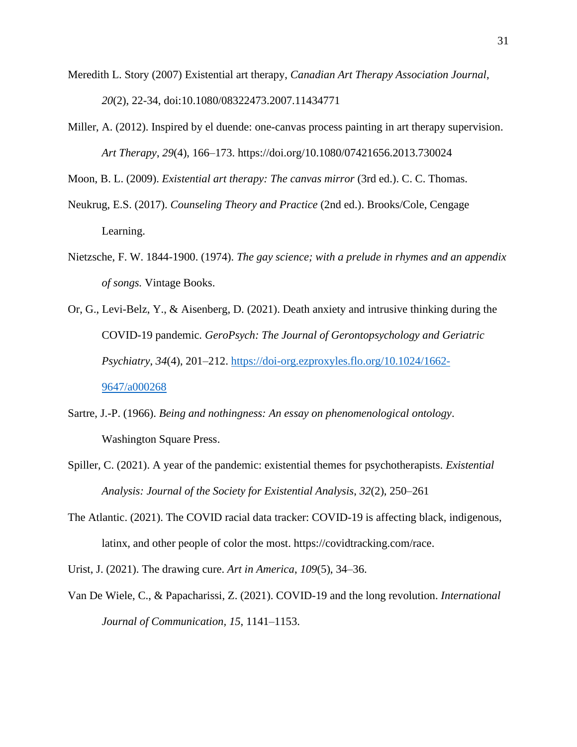- Meredith L. Story (2007) Existential art therapy, *Canadian Art Therapy Association Journal*, *20*(2), 22-34, doi:10.1080/08322473.2007.11434771
- Miller, A. (2012). Inspired by el duende: one-canvas process painting in art therapy supervision. *Art Therapy*, *29*(4), 166–173. https://doi.org/10.1080/07421656.2013.730024

Moon, B. L. (2009). *Existential art therapy: The canvas mirror* (3rd ed.). C. C. Thomas.

- Neukrug, E.S. (2017). *Counseling Theory and Practice* (2nd ed.). Brooks/Cole, Cengage Learning.
- Nietzsche, F. W. 1844-1900. (1974). *The gay science; with a prelude in rhymes and an appendix of songs.* Vintage Books.
- Or, G., Levi-Belz, Y., & Aisenberg, D. (2021). Death anxiety and intrusive thinking during the COVID-19 pandemic*. GeroPsych: The Journal of Gerontopsychology and Geriatric Psychiatry*, *34*(4), 201–212. [https://doi-org.ezproxyles.flo.org/10.1024/1662-](https://doi-org.ezproxyles.flo.org/10.1024/1662-9647/a000268) [9647/a000268](https://doi-org.ezproxyles.flo.org/10.1024/1662-9647/a000268)
- Sartre, J.-P. (1966). *Being and nothingness: An essay on phenomenological ontology*. Washington Square Press.
- Spiller, C. (2021). A year of the pandemic: existential themes for psychotherapists. *Existential Analysis: Journal of the Society for Existential Analysis*, *32*(2), 250–261
- The Atlantic. (2021). The COVID racial data tracker: COVID-19 is affecting black, indigenous, latinx, and other people of color the most. https://covidtracking.com/race.
- Urist, J. (2021). The drawing cure. *Art in America*, *109*(5), 34–36.
- Van De Wiele, C., & Papacharissi, Z. (2021). COVID-19 and the long revolution. *International Journal of Communication, 15*, 1141–1153.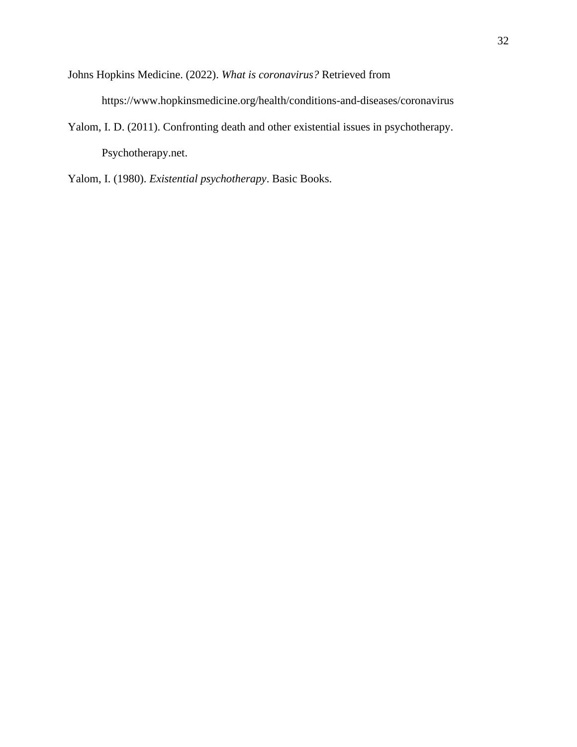- Johns Hopkins Medicine. (2022). *What is coronavirus?* Retrieved from https://www.hopkinsmedicine.org/health/conditions-and-diseases/coronavirus
- Yalom, I. D. (2011). Confronting death and other existential issues in psychotherapy. Psychotherapy.net.

Yalom, I. (1980). *Existential psychotherapy*. Basic Books.